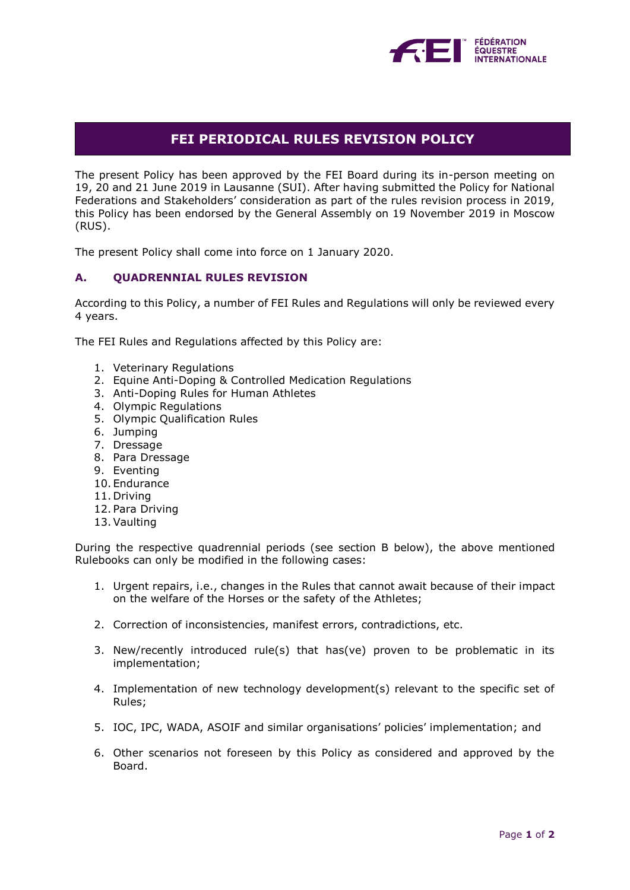

# **FEI PERIODICAL RULES REVISION POLICY**

The present Policy has been approved by the FEI Board during its in-person meeting on 19, 20 and 21 June 2019 in Lausanne (SUI). After having submitted the Policy for National Federations and Stakeholders' consideration as part of the rules revision process in 2019, this Policy has been endorsed by the General Assembly on 19 November 2019 in Moscow (RUS).

The present Policy shall come into force on 1 January 2020.

### **A. QUADRENNIAL RULES REVISION**

According to this Policy, a number of FEI Rules and Regulations will only be reviewed every 4 years.

The FEI Rules and Regulations affected by this Policy are:

- 1. Veterinary Regulations
- 2. Equine Anti-Doping & Controlled Medication Regulations
- 3. Anti-Doping Rules for Human Athletes
- 4. Olympic Regulations
- 5. Olympic Qualification Rules
- 6. Jumping
- 7. Dressage
- 8. Para Dressage
- 9. Eventing
- 10. Endurance
- 11. Driving
- 12. Para Driving
- 13.Vaulting

During the respective quadrennial periods (see section B below), the above mentioned Rulebooks can only be modified in the following cases:

- 1. Urgent repairs, i.e., changes in the Rules that cannot await because of their impact on the welfare of the Horses or the safety of the Athletes;
- 2. Correction of inconsistencies, manifest errors, contradictions, etc.
- 3. New/recently introduced rule(s) that has(ve) proven to be problematic in its implementation;
- 4. Implementation of new technology development(s) relevant to the specific set of Rules;
- 5. IOC, IPC, WADA, ASOIF and similar organisations' policies' implementation; and
- 6. Other scenarios not foreseen by this Policy as considered and approved by the Board.